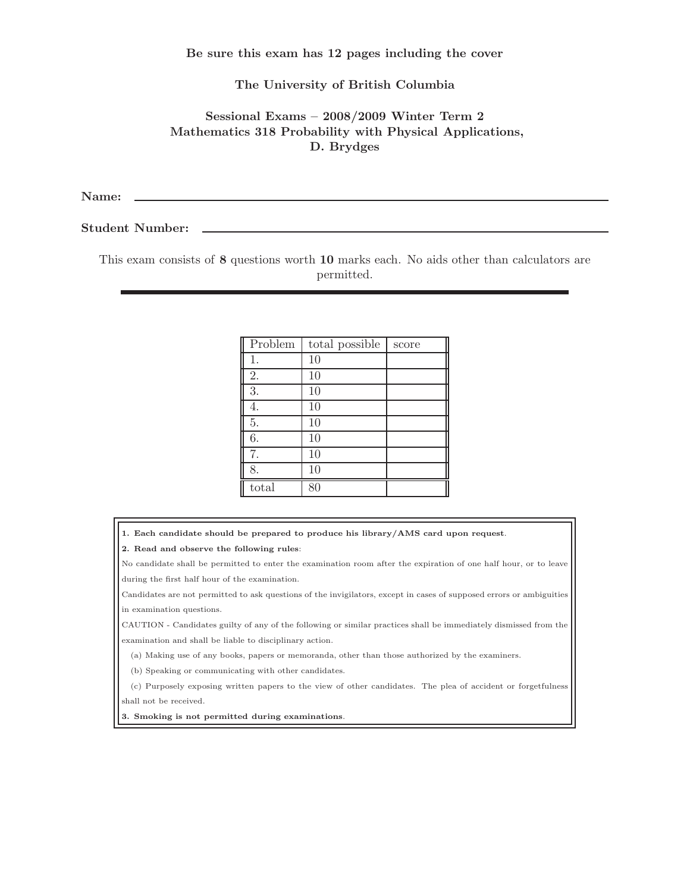Be sure this exam has 12 pages including the cover

## The University of British Columbia

## Sessional Exams – 2008/2009 Winter Term 2 Mathematics 318 Probability with Physical Applications, D. Brydges

Name:

Student Number:

This exam consists of 8 questions worth 10 marks each. No aids other than calculators are permitted.

| Problem | total possible | score |
|---------|----------------|-------|
| 1.      | 10             |       |
| 2.      | 10             |       |
| 3.      | 10             |       |
| 4.      | 10             |       |
| 5.      | 10             |       |
| 6.      | 10             |       |
| 7.      | 10             |       |
| 8.      | 10             |       |
| total   | 80             |       |

1. Each candidate should be prepared to produce his library/AMS card upon request.

2. Read and observe the following rules:

No candidate shall be permitted to enter the examination room after the expiration of one half hour, or to leave during the first half hour of the examination.

Candidates are not permitted to ask questions of the invigilators, except in cases of supposed errors or ambiguities in examination questions.

CAUTION - Candidates guilty of any of the following or similar practices shall be immediately dismissed from the examination and shall be liable to disciplinary action.

(a) Making use of any books, papers or memoranda, other than those authorized by the examiners.

(b) Speaking or communicating with other candidates.

(c) Purposely exposing written papers to the view of other candidates. The plea of accident or forgetfulness shall not be received.

3. Smoking is not permitted during examinations.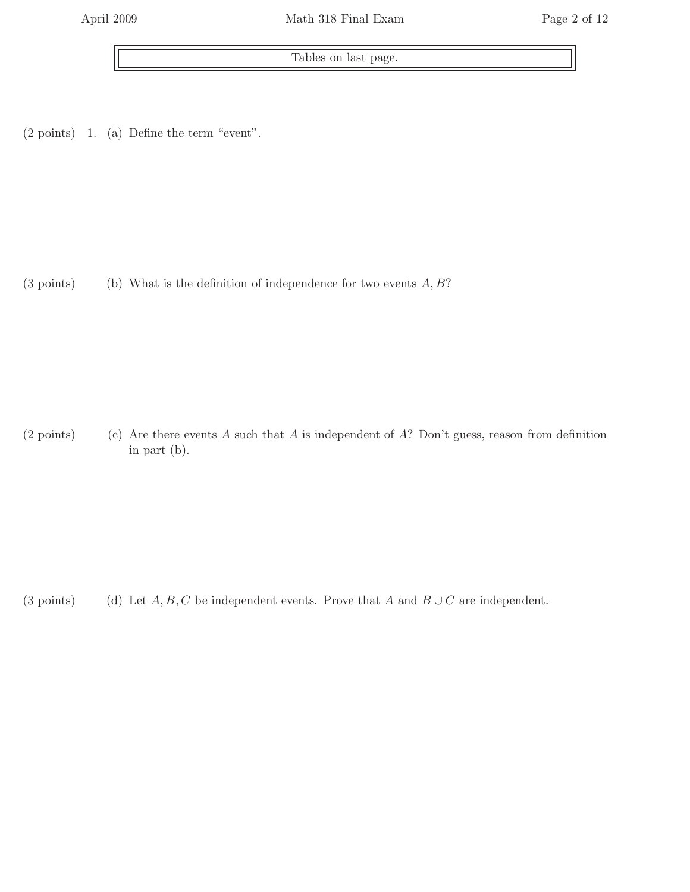Tables on last page.

 $(2 \text{ points})$  1. (a) Define the term "event".

(3 points) (b) What is the definition of independence for two events  $A, B$ ?

(2 points) (c) Are there events A such that A is independent of A? Don't guess, reason from definition in part (b).

(3 points) (d) Let  $A, B, C$  be independent events. Prove that A and  $B \cup C$  are independent.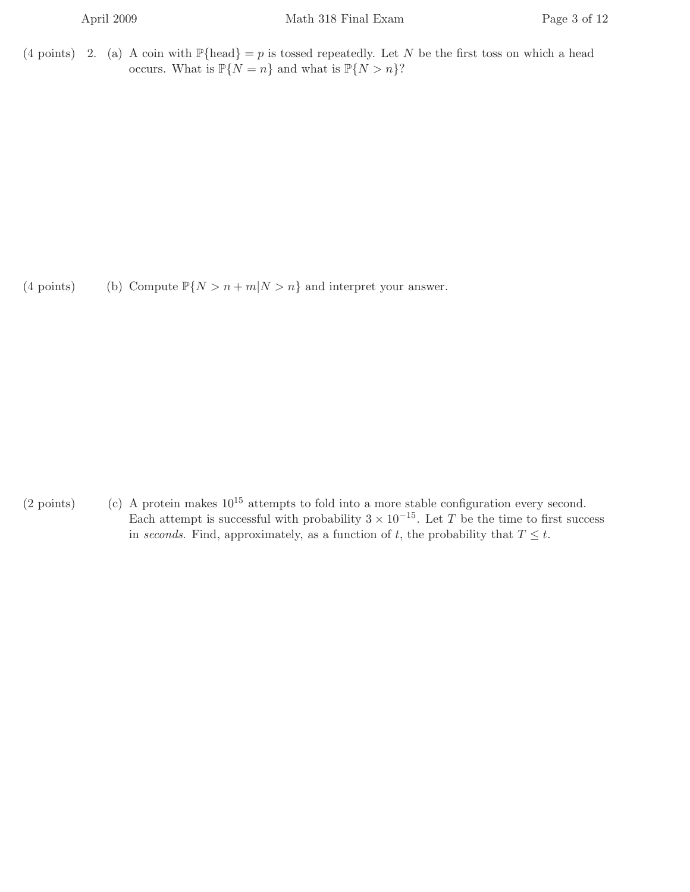(4 points) 2. (a) A coin with  $\mathbb{P}\{\text{head}\} = p$  is tossed repeatedly. Let N be the first toss on which a head occurs. What is  $\mathbb{P}\{N = n\}$  and what is  $\mathbb{P}\{N > n\}$ ?

(4 points) (b) Compute  $\mathbb{P}\{N > n + m | N > n\}$  and interpret your answer.

(2 points) (c) A protein makes  $10^{15}$  attempts to fold into a more stable configuration every second. Each attempt is successful with probability  $3 \times 10^{-15}$ . Let T be the time to first success in seconds. Find, approximately, as a function of t, the probability that  $T \leq t$ .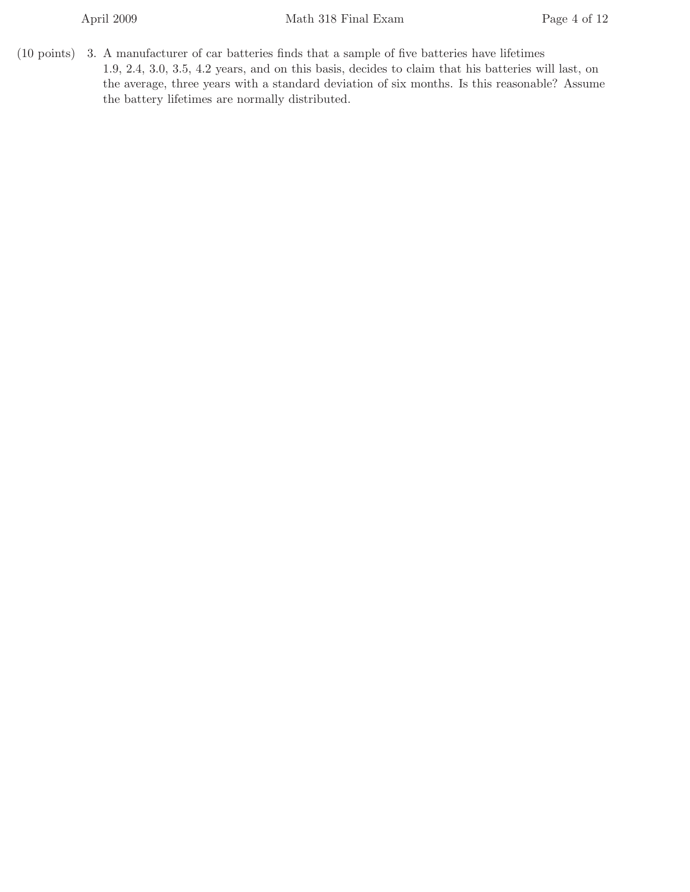$(10 \text{ points})$  3. A manufacturer of car batteries finds that a sample of five batteries have lifetimes 1.9, 2.4, 3.0, 3.5, 4.2 years, and on this basis, decides to claim that his batteries will last, on the average, three years with a standard deviation of six months. Is this reasonable? Assume the battery lifetimes are normally distributed.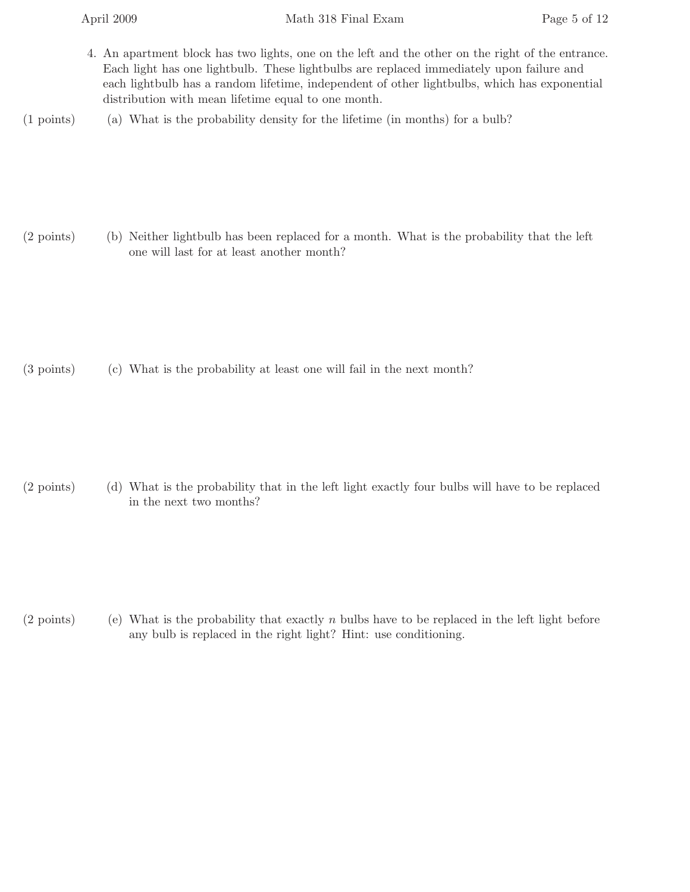- 4. An apartment block has two lights, one on the left and the other on the right of the entrance. Each light has one lightbulb. These lightbulbs are replaced immediately upon failure and each lightbulb has a random lifetime, independent of other lightbulbs, which has exponential distribution with mean lifetime equal to one month.
- $(1 \text{ points})$  (a) What is the probability density for the lifetime (in months) for a bulb?

(2 points) (b) Neither lightbulb has been replaced for a month. What is the probability that the left one will last for at least another month?

 $(3 \text{ points})$  (c) What is the probability at least one will fail in the next month?

(2 points) (d) What is the probability that in the left light exactly four bulbs will have to be replaced in the next two months?

(2 points) (e) What is the probability that exactly  $n$  bulbs have to be replaced in the left light before any bulb is replaced in the right light? Hint: use conditioning.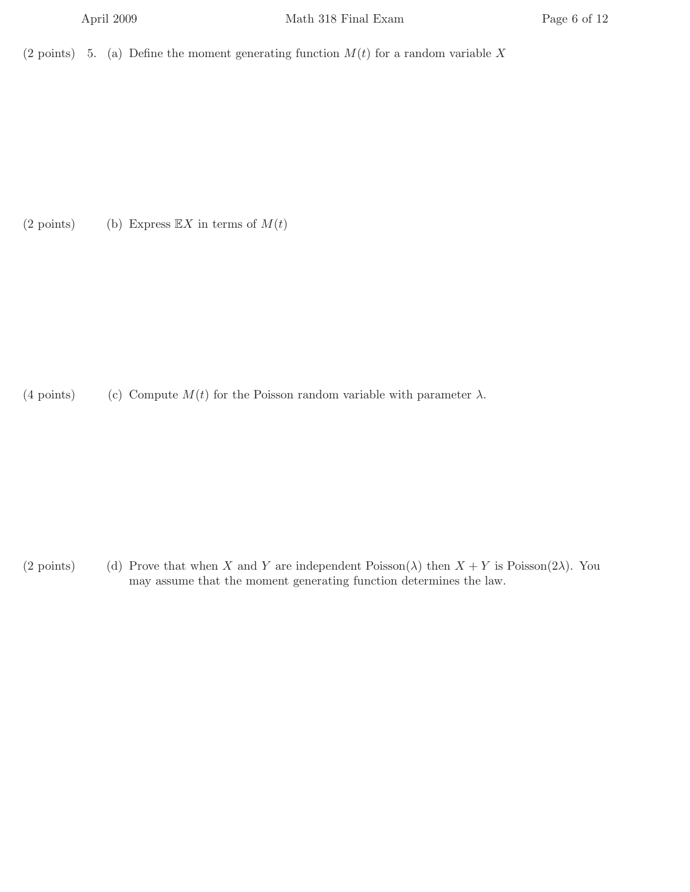(2 points) 5. (a) Define the moment generating function  $M(t)$  for a random variable X

(2 points) (b) Express  $\mathbb{E}X$  in terms of  $M(t)$ 

(4 points) (c) Compute  $M(t)$  for the Poisson random variable with parameter  $\lambda$ .

(2 points) (d) Prove that when X and Y are independent Poisson( $\lambda$ ) then  $X + Y$  is Poisson( $2\lambda$ ). You may assume that the moment generating function determines the law.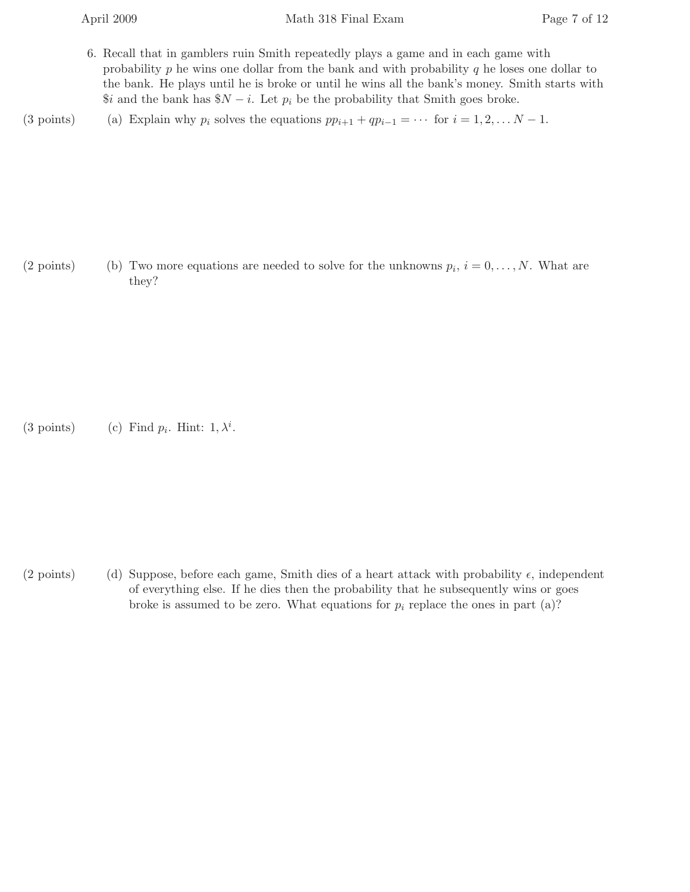- 6. Recall that in gamblers ruin Smith repeatedly plays a game and in each game with probability  $p$  he wins one dollar from the bank and with probability  $q$  he loses one dollar to the bank. He plays until he is broke or until he wins all the bank's money. Smith starts with  $$i$  and the bank has  $N - i$ . Let  $p_i$  be the probability that Smith goes broke.
- (3 points) (a) Explain why  $p_i$  solves the equations  $pp_{i+1} + qp_{i-1} = \cdots$  for  $i = 1, 2, \ldots N 1$ .

(2 points) (b) Two more equations are needed to solve for the unknowns  $p_i$ ,  $i = 0, \ldots, N$ . What are they?

(3 points) (c) Find  $p_i$ . Hint:  $1, \lambda^i$ .

(2 points) (d) Suppose, before each game, Smith dies of a heart attack with probability  $\epsilon$ , independent of everything else. If he dies then the probability that he subsequently wins or goes broke is assumed to be zero. What equations for  $p_i$  replace the ones in part (a)?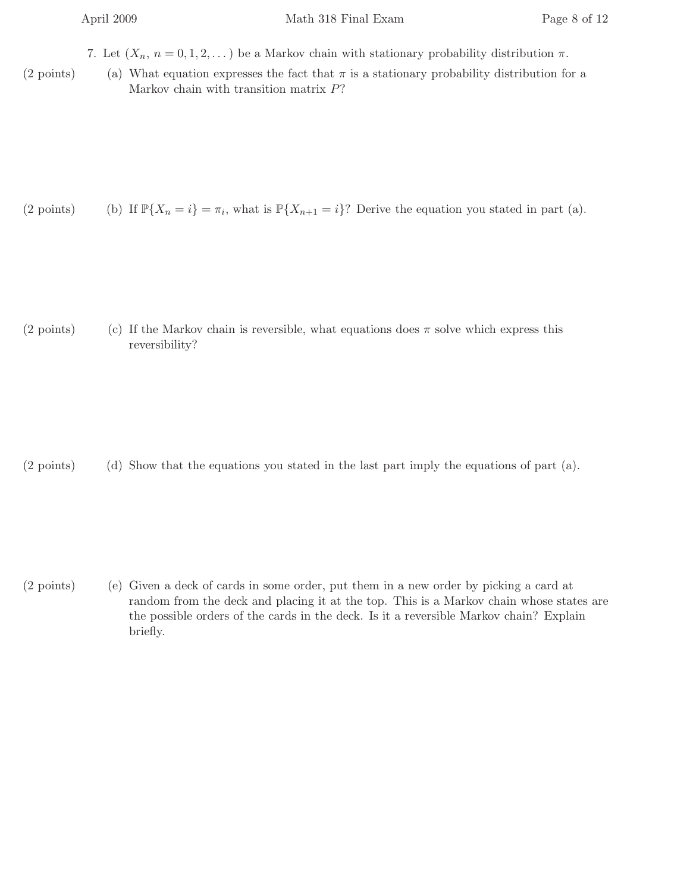7. Let  $(X_n, n = 0, 1, 2, ...)$  be a Markov chain with stationary probability distribution  $\pi$ .

(2 points) (a) What equation expresses the fact that  $\pi$  is a stationary probability distribution for a Markov chain with transition matrix P?

(2 points) (b) If  $\mathbb{P}\{X_n = i\} = \pi_i$ , what is  $\mathbb{P}\{X_{n+1} = i\}$ ? Derive the equation you stated in part (a).

(2 points) (c) If the Markov chain is reversible, what equations does  $\pi$  solve which express this reversibility?

 $(2 \text{ points})$  (d) Show that the equations you stated in the last part imply the equations of part (a).

 $(2 \text{ points})$  (e) Given a deck of cards in some order, put them in a new order by picking a card at random from the deck and placing it at the top. This is a Markov chain whose states are the possible orders of the cards in the deck. Is it a reversible Markov chain? Explain briefly.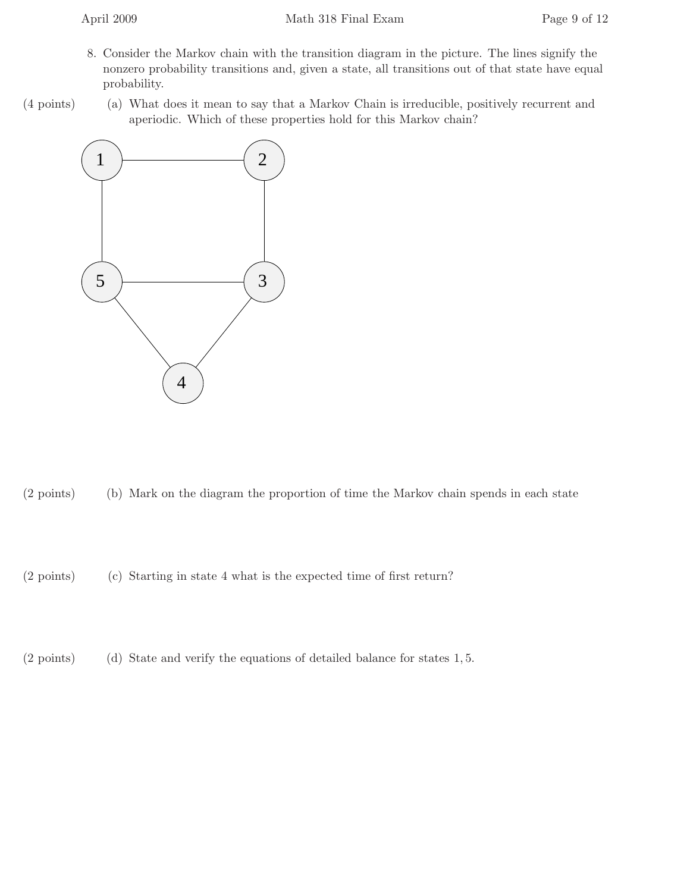- 8. Consider the Markov chain with the transition diagram in the picture. The lines signify the nonzero probability transitions and, given a state, all transitions out of that state have equal probability.
- (4 points) (a) What does it mean to say that a Markov Chain is irreducible, positively recurrent and aperiodic. Which of these properties hold for this Markov chain?



- $(2 \text{ points})$  (b) Mark on the diagram the proportion of time the Markov chain spends in each state
- $(2 \text{ points})$  (c) Starting in state 4 what is the expected time of first return?
- $(2 \text{ points})$  (d) State and verify the equations of detailed balance for states 1, 5.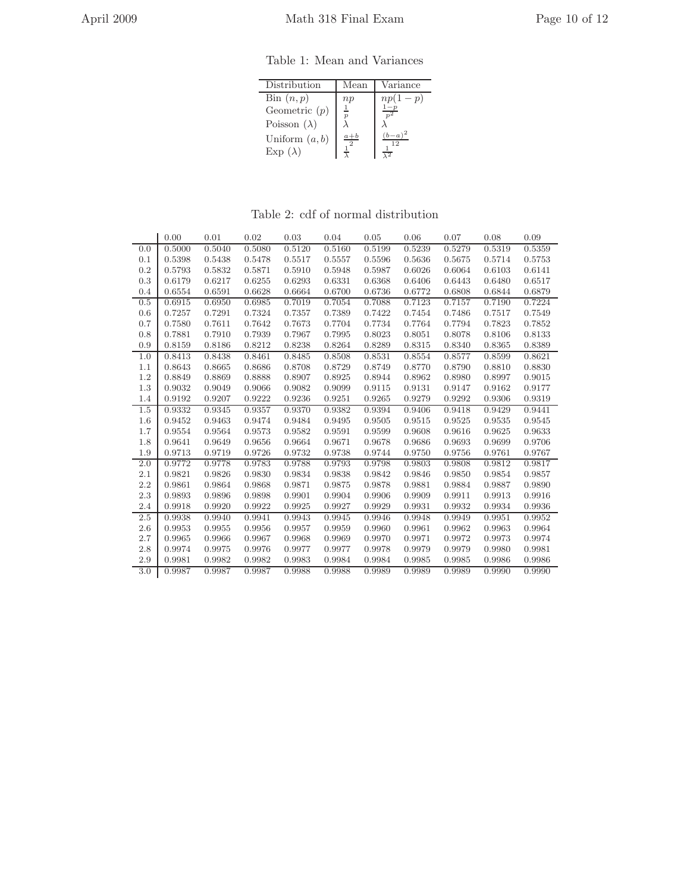Table 1: Mean and Variances

| Distribution                                              | Mean         | Variance                |
|-----------------------------------------------------------|--------------|-------------------------|
| $\operatorname{Bin}(n,p)$<br>Geometric $(p)$              | np           | $np(1-p)$               |
| Poisson $(\lambda)$<br>Uniform $(a, b)$<br>$Exp(\lambda)$ | $a+b$<br>-9. | $b-a$<br>$\overline{2}$ |

Table 2: cdf of normal distribution

|                  | 0.00   | 0.01   | 0.02   | 0.03   | 0.04   | 0.05   | 0.06   | 0.07   | 0.08   | 0.09   |
|------------------|--------|--------|--------|--------|--------|--------|--------|--------|--------|--------|
| 0.0              | 0.5000 | 0.5040 | 0.5080 | 0.5120 | 0.5160 | 0.5199 | 0.5239 | 0.5279 | 0.5319 | 0.5359 |
| 0.1              | 0.5398 | 0.5438 | 0.5478 | 0.5517 | 0.5557 | 0.5596 | 0.5636 | 0.5675 | 0.5714 | 0.5753 |
| 0.2              | 0.5793 | 0.5832 | 0.5871 | 0.5910 | 0.5948 | 0.5987 | 0.6026 | 0.6064 | 0.6103 | 0.6141 |
| 0.3              | 0.6179 | 0.6217 | 0.6255 | 0.6293 | 0.6331 | 0.6368 | 0.6406 | 0.6443 | 0.6480 | 0.6517 |
| 0.4              | 0.6554 | 0.6591 | 0.6628 | 0.6664 | 0.6700 | 0.6736 | 0.6772 | 0.6808 | 0.6844 | 0.6879 |
| 0.5              | 0.6915 | 0.6950 | 0.6985 | 0.7019 | 0.7054 | 0.7088 | 0.7123 | 0.7157 | 0.7190 | 0.7224 |
| 0.6              | 0.7257 | 0.7291 | 0.7324 | 0.7357 | 0.7389 | 0.7422 | 0.7454 | 0.7486 | 0.7517 | 0.7549 |
| 0.7              | 0.7580 | 0.7611 | 0.7642 | 0.7673 | 0.7704 | 0.7734 | 0.7764 | 0.7794 | 0.7823 | 0.7852 |
| 0.8              | 0.7881 | 0.7910 | 0.7939 | 0.7967 | 0.7995 | 0.8023 | 0.8051 | 0.8078 | 0.8106 | 0.8133 |
| 0.9              | 0.8159 | 0.8186 | 0.8212 | 0.8238 | 0.8264 | 0.8289 | 0.8315 | 0.8340 | 0.8365 | 0.8389 |
| 1.0              | 0.8413 | 0.8438 | 0.8461 | 0.8485 | 0.8508 | 0.8531 | 0.8554 | 0.8577 | 0.8599 | 0.8621 |
| 1.1              | 0.8643 | 0.8665 | 0.8686 | 0.8708 | 0.8729 | 0.8749 | 0.8770 | 0.8790 | 0.8810 | 0.8830 |
| 1.2              | 0.8849 | 0.8869 | 0.8888 | 0.8907 | 0.8925 | 0.8944 | 0.8962 | 0.8980 | 0.8997 | 0.9015 |
| 1.3              | 0.9032 | 0.9049 | 0.9066 | 0.9082 | 0.9099 | 0.9115 | 0.9131 | 0.9147 | 0.9162 | 0.9177 |
| 1.4              | 0.9192 | 0.9207 | 0.9222 | 0.9236 | 0.9251 | 0.9265 | 0.9279 | 0.9292 | 0.9306 | 0.9319 |
| 1.5              | 0.9332 | 0.9345 | 0.9357 | 0.9370 | 0.9382 | 0.9394 | 0.9406 | 0.9418 | 0.9429 | 0.9441 |
| 1.6              | 0.9452 | 0.9463 | 0.9474 | 0.9484 | 0.9495 | 0.9505 | 0.9515 | 0.9525 | 0.9535 | 0.9545 |
| 1.7              | 0.9554 | 0.9564 | 0.9573 | 0.9582 | 0.9591 | 0.9599 | 0.9608 | 0.9616 | 0.9625 | 0.9633 |
| 1.8              | 0.9641 | 0.9649 | 0.9656 | 0.9664 | 0.9671 | 0.9678 | 0.9686 | 0.9693 | 0.9699 | 0.9706 |
| 1.9              | 0.9713 | 0.9719 | 0.9726 | 0.9732 | 0.9738 | 0.9744 | 0.9750 | 0.9756 | 0.9761 | 0.9767 |
| 2.0              | 0.9772 | 0.9778 | 0.9783 | 0.9788 | 0.9793 | 0.9798 | 0.9803 | 0.9808 | 0.9812 | 0.9817 |
| 2.1              | 0.9821 | 0.9826 | 0.9830 | 0.9834 | 0.9838 | 0.9842 | 0.9846 | 0.9850 | 0.9854 | 0.9857 |
| 2.2              | 0.9861 | 0.9864 | 0.9868 | 0.9871 | 0.9875 | 0.9878 | 0.9881 | 0.9884 | 0.9887 | 0.9890 |
| 2.3              | 0.9893 | 0.9896 | 0.9898 | 0.9901 | 0.9904 | 0.9906 | 0.9909 | 0.9911 | 0.9913 | 0.9916 |
| 2.4              | 0.9918 | 0.9920 | 0.9922 | 0.9925 | 0.9927 | 0.9929 | 0.9931 | 0.9932 | 0.9934 | 0.9936 |
| 2.5              | 0.9938 | 0.9940 | 0.9941 | 0.9943 | 0.9945 | 0.9946 | 0.9948 | 0.9949 | 0.9951 | 0.9952 |
| 2.6              | 0.9953 | 0.9955 | 0.9956 | 0.9957 | 0.9959 | 0.9960 | 0.9961 | 0.9962 | 0.9963 | 0.9964 |
| 2.7              | 0.9965 | 0.9966 | 0.9967 | 0.9968 | 0.9969 | 0.9970 | 0.9971 | 0.9972 | 0.9973 | 0.9974 |
| 2.8              | 0.9974 | 0.9975 | 0.9976 | 0.9977 | 0.9977 | 0.9978 | 0.9979 | 0.9979 | 0.9980 | 0.9981 |
| 2.9              | 0.9981 | 0.9982 | 0.9982 | 0.9983 | 0.9984 | 0.9984 | 0.9985 | 0.9985 | 0.9986 | 0.9986 |
| $\overline{3.0}$ | 0.9987 | 0.9987 | 0.9987 | 0.9988 | 0.9988 | 0.9989 | 0.9989 | 0.9989 | 0.9990 | 0.9990 |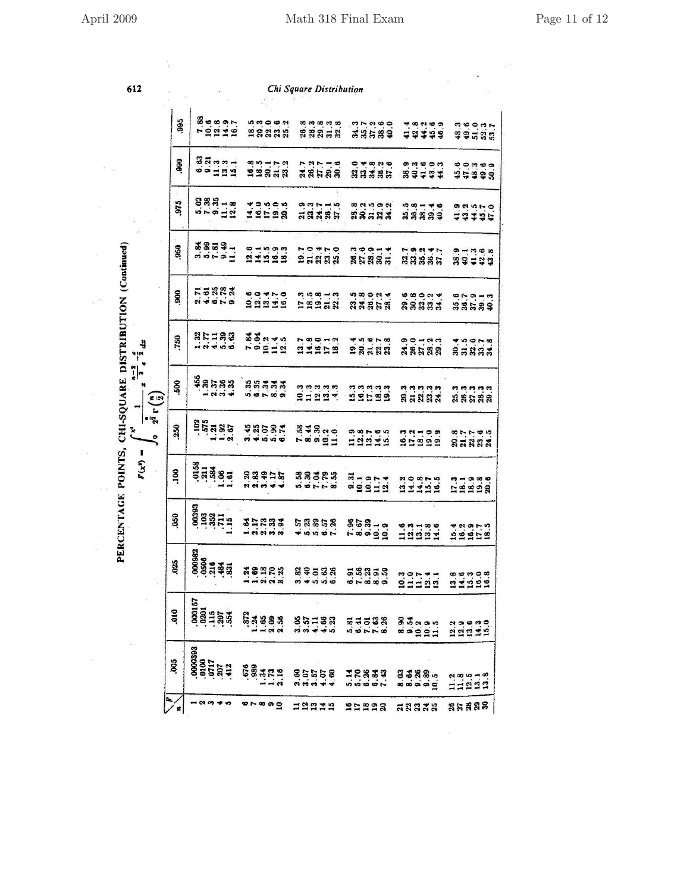$\Xi$ 

 $\hat{\phi}$ 

 $\kappa^{-\frac{1}{25}}$ 

 $\frac{1}{2}$ 

 $\frac{1}{\sqrt{2}}$ 

 $\bar{n}$ 

612

 $\frac{1}{\sqrt{2}}$ 

 $\sim$ 

 $\sim$  100  $\pm$  100  $\pm$ 

Chi Square Distribution

|                                                            |                                                                                                                                                                                                                                                                                                                     |  |                                 |                        |                   |    |                      | ੜ ਕੁਝ                    |                         |  |                                     |                     |        |                                 |               |                |                |                       |  |                       |  |
|------------------------------------------------------------|---------------------------------------------------------------------------------------------------------------------------------------------------------------------------------------------------------------------------------------------------------------------------------------------------------------------|--|---------------------------------|------------------------|-------------------|----|----------------------|--------------------------|-------------------------|--|-------------------------------------|---------------------|--------|---------------------------------|---------------|----------------|----------------|-----------------------|--|-----------------------|--|
| 995                                                        |                                                                                                                                                                                                                                                                                                                     |  | $7.88$<br>$7.98997$<br>$7.9148$ |                        |                   |    | <b>ようのある</b><br>田知益説 |                          | 88853                   |  |                                     |                     |        | 233384                          |               |                |                | 4.8.2.9.9<br>4.24.4.9 |  | naonn<br>Seise        |  |
| 990                                                        | $\frac{3}{3}$ $\frac{3}{3}$ $\frac{3}{3}$ $\frac{3}{3}$ $\frac{3}{3}$ $\frac{3}{3}$ $\frac{3}{3}$ $\frac{3}{3}$ $\frac{3}{3}$ $\frac{3}{3}$ $\frac{3}{3}$ $\frac{3}{3}$ $\frac{3}{3}$ $\frac{3}{3}$ $\frac{3}{3}$ $\frac{3}{3}$ $\frac{3}{3}$ $\frac{3}{3}$ $\frac{3}{3}$ $\frac{3}{3}$ $\frac{3}{3}$ $\frac{3}{3}$ |  |                                 |                        |                   |    | 851172<br>93818      |                          | 727748<br><b>ASR</b> 88 |  |                                     |                     |        | $24835$<br>$33355$              |               |                |                | angon<br>83434        |  | <b>おりことの</b><br>おけぬぬの |  |
| 975                                                        | 833-12<br>533-12                                                                                                                                                                                                                                                                                                    |  |                                 |                        |                   |    | 19598                |                          | $3.77 - 5$<br>$3.788$   |  |                                     |                     |        | annan<br>83533                  |               |                |                | 533334                |  | 924570.<br>14445      |  |
| .950                                                       | 58339-                                                                                                                                                                                                                                                                                                              |  |                                 |                        |                   |    | 219999               |                          | nowno<br>25888          |  |                                     |                     |        | 33333                           |               |                |                | 7924万                 |  | 341243<br>34124       |  |
| 80                                                         | FENRA                                                                                                                                                                                                                                                                                                               |  |                                 |                        |                   |    | 00410<br>00410       |                          | 139213                  |  |                                     |                     |        | 533553                          |               |                |                | angang<br>Ranan       |  | ero - a<br>SSSS       |  |
| 750                                                        | $R = 38$                                                                                                                                                                                                                                                                                                            |  |                                 |                        |                   |    | 8.82245<br>7.9212    |                          | 114112                  |  |                                     |                     |        | 281222                          |               |                |                | 90133                 |  | angerg<br>Sangg       |  |
| 500                                                        | $\begin{array}{c}\n\frac{1}{4} & \frac{1}{4} & \frac{1}{4} & \frac{1}{4} \\ \frac{1}{4} & \frac{1}{4} & \frac{1}{4} & \frac{1}{4} \\ \frac{1}{4} & \frac{1}{4} & \frac{1}{4} & \frac{1}{4}\n\end{array}$                                                                                                            |  |                                 |                        |                   |    | <b>222422</b>        |                          | ananan<br>Shana         |  |                                     |                     |        | 33533<br>22533                  |               |                |                | កកកកក<br>ឥដន៍និង      |  | nnnnn<br>ASGRA        |  |
| $2^{\frac{n}{2}}$ r $\left(\frac{n}{2}\right)$<br>250<br>্ | $\begin{array}{c}\n 188 \\  188 \\  285 \\  386\n \end{array}$                                                                                                                                                                                                                                                      |  |                                 | 4858%                  |                   |    |                      |                          | 534820<br>78321         |  |                                     |                     |        | a she she<br>12214              |               | 21222<br>21222 |                |                       |  | 87788                 |  |
| 100                                                        | 31384<br>31384<br>1.384                                                                                                                                                                                                                                                                                             |  |                                 | 33915                  |                   |    |                      |                          | $333223$                |  |                                     | $\frac{9.31}{10.1}$ |        | $\frac{10.7}{11.4}$             |               |                |                | 114451                |  | 11938                 |  |
| 050                                                        | $\begin{array}{c} 00393 \\ 103 \\ 103 \\ .711 \\ .115 \end{array}$                                                                                                                                                                                                                                                  |  |                                 | $\frac{35883}{100000}$ |                   |    |                      | <b>经经股股股</b><br>4.8.8.8% |                         |  |                                     |                     |        | 868-4<br><b>568-4</b><br>565-47 |               | 121224         |                |                       |  | 12197.9               |  |
| 025                                                        | $.000982$<br>$.0506$<br>$.216$<br>$.484$<br>$.831$                                                                                                                                                                                                                                                                  |  |                                 | 193523                 |                   |    |                      | <b>233333</b><br>334533  |                         |  |                                     |                     | 5.8858 |                                 | 231111        |                |                |                       |  | 888808<br>21222       |  |
| $\frac{1}{2}$                                              | 000167<br>0201<br>115<br>134<br>134<br>134                                                                                                                                                                                                                                                                          |  |                                 | 872                    | <b>333</b><br>133 |    |                      | 35728                    |                         |  | <b>로쿠르용용</b><br>서 <del>어</del> 나는 역 |                     |        |                                 | 8.54<br>9.54  | 10.2           | $10.9$<br>11.5 |                       |  | 23215<br>2221         |  |
| 800                                                        | $\begin{array}{l} 0000393 \\ -0100 \\ -0717 \\ -207 \\ -412 \\ \end{array}$                                                                                                                                                                                                                                         |  |                                 | 676<br>989             |                   |    | .16                  | 85558<br>85558           |                         |  |                                     |                     | 10833  |                                 | 33880         |                |                |                       |  | 11222                 |  |
|                                                            |                                                                                                                                                                                                                                                                                                                     |  |                                 |                        |                   | •ິ |                      | 12379                    |                         |  |                                     |                     | 21228  |                                 | <b>អនានងន</b> |                |                |                       |  | <b>85888</b>          |  |